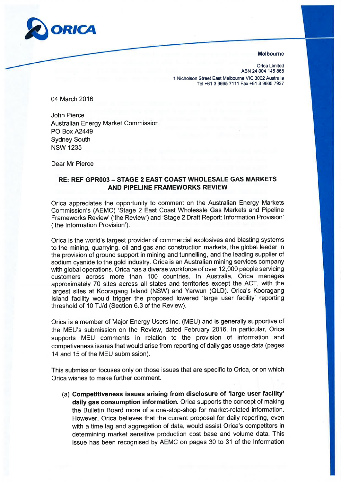

## Melbourne

Orica Limited ABN 24 004 145 868 1 Nicholson Street East Melbourne VIC 3002 Australia Tel +61 3 9665 7111 Fax +61 3 9665 7937

04 March 2016

John Pierce Australian Energy Market Commission **PO Box A2449** Sydney South NSW 1235

Dear Mr Pierce

## RE: REF GPROO3 - STAGE 2 EAST COAST WHOLESALE GAS MARKETS AND PIPELINE FRAMEWORKS REVIEW

Orica appreciates the opportunity to comment on the Australian Energy Markets Commission's (AEMC) 'Stage 2 East Coast Wholesale Gas Markets and Pipeline Frameworks Review'('the Review') and'Stage 2Draft Report: lnformation Provision' ('the lnformation Provision').

Orica is the world's largest provider of commercial explosives and blasting systems to the mining, quarrying, oil and gas and construction markets, the global leader in the provision of ground support in mining and tunnelling, and the leading supplier of sodium cyanide to the gold industry. Orica is an Australian mining services company with global operations. Orica has a diverse workforce of over 12,000 people servicing customers across more than 100 countries. ln Australia, Orica manages approximately 70 sites across all states and territories except the ACT, with the largest sites at Kooragang Island (NSW) and Yarwun (QLD). Orica's Kooragang lsland facility would trigger the proposed lowered 'large user facility' reporting threshold of 10 TJ/d (Section 6.3 of the Review).

Orica is a member of Major Energy Users lnc. (MEU) and is generally supportive of the MEU's submission on the Review, dated February 2016. ln particular, Orica supports MEU comments in relation to the provision of information and competiveness issues that would arise from reporting of daily gas usage data (pages 14 and 15 of the MEU submission).

This submission focuses only on those issues that are specific to Orica, or on which Orica wishes to make further comment.

(a) Competitiveness issues arising from disclosure of 'large user facility' daily gas consumption information. Orica supports the concept of making the Bulletin Board more of a one-stop-shop for market-related information. However, Orica believes that the current proposal for daily reporting, even with a time lag and aggregation of data, would assist Orica's competitors in determining market sensitive production cost base and volume data. This issue has been recognised by AEMC on pages 30 to 31 of the lnformation